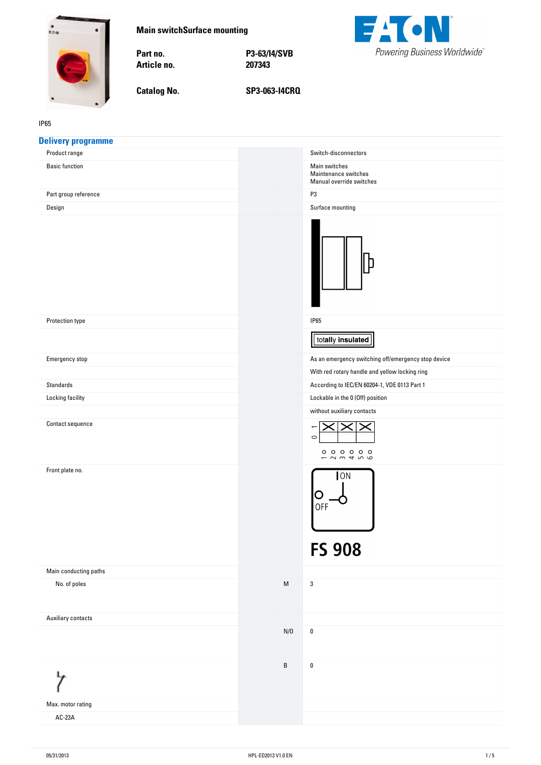<span id="page-0-0"></span>

**Main-switchSurface-mounting**

Part no. Article no.

**no. P3-63/I4/SVB no. 207343**



**Catalog No.** 

**No. SP3-063-I4CRQ**

### IP65

| <b>Delivery programme</b> |                                                                                                            |                                                                                      |
|---------------------------|------------------------------------------------------------------------------------------------------------|--------------------------------------------------------------------------------------|
| Product range             |                                                                                                            | Switch-disconnectors                                                                 |
| <b>Basic function</b>     |                                                                                                            | Main switches<br>Maintenance switches<br>Manual override switches                    |
| Part group reference      |                                                                                                            | P3                                                                                   |
| Design                    |                                                                                                            | Surface mounting                                                                     |
| Protection type           |                                                                                                            | <b>IP65</b>                                                                          |
|                           |                                                                                                            | totally insulated                                                                    |
| Emergency stop            |                                                                                                            | As an emergency switching off/emergency stop device                                  |
|                           |                                                                                                            | With red rotary handle and yellow locking ring                                       |
| <b>Standards</b>          |                                                                                                            | According to IEC/EN 60204-1, VDE 0113 Part 1                                         |
| Locking facility          |                                                                                                            | Lockable in the 0 (Off) position                                                     |
|                           |                                                                                                            | without auxiliary contacts                                                           |
| Contact sequence          |                                                                                                            | $\overline{\phantom{0}}$<br>$\circ$<br>$0000000$<br>$ \sim$ $\sim$ $+$ $\sim$ $\sim$ |
| Front plate no.           |                                                                                                            | <b>ON</b><br>OFF<br><b>FS 908</b>                                                    |
| Main conducting paths     |                                                                                                            |                                                                                      |
| No. of poles              | $\mathsf{M}% _{T}=\mathsf{M}_{T}\!\left( a,b\right) ,\ \mathsf{M}_{T}=\mathsf{M}_{T}\!\left( a,b\right) ,$ | $\mathsf 3$                                                                          |
| Auxiliary contacts        |                                                                                                            |                                                                                      |
|                           | N/0                                                                                                        | $\pmb{0}$                                                                            |
| ヶ                         | B                                                                                                          | $\pmb{0}$                                                                            |
| Max. motor rating         |                                                                                                            |                                                                                      |
| AC-23A                    |                                                                                                            |                                                                                      |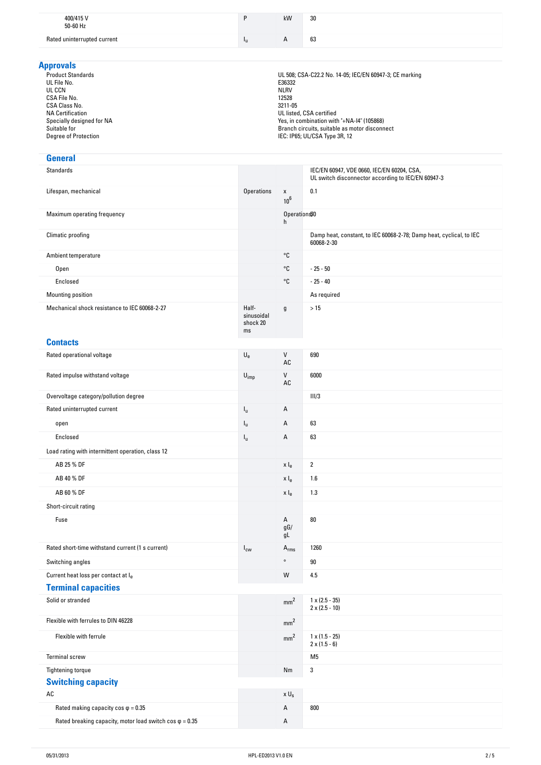| 400/415V<br>50-60 Hz        |   | kW           | 30 |
|-----------------------------|---|--------------|----|
| Rated uninterrupted current | ш | $\mathsf{A}$ | 63 |

## **Approvals**

| wwww.                     |                                                         |
|---------------------------|---------------------------------------------------------|
| <b>Product Standards</b>  | UL 508; CSA-C22.2 No. 14-05; IEC/EN 60947-3; CE marking |
| UL File No.               | E36332                                                  |
| UL CCN                    | <b>NLRV</b>                                             |
| CSA File No.              | 12528                                                   |
| CSA Class No.             | 3211-05                                                 |
| <b>NA Certification</b>   | UL listed, CSA certified                                |
| Specially designed for NA | Yes, in combination with "+NA-14" (105868)              |
| Suitable for              | Branch circuits, suitable as motor disconnect           |
| Degree of Protection      | IEC: IP65; UL/CSA Type 3R, 12                           |
|                           |                                                         |

## **General**

| <b>Standards</b>                                  |                                       |                   | IEC/EN 60947, VDE 0660, IEC/EN 60204, CSA,<br>UL switch disconnector according to IEC/EN 60947-3 |
|---------------------------------------------------|---------------------------------------|-------------------|--------------------------------------------------------------------------------------------------|
| Lifespan, mechanical                              | <b>Operations</b>                     | X<br>$10^6$       | 0.1                                                                                              |
| Maximum operating frequency                       |                                       | Operations50<br>h |                                                                                                  |
| Climatic proofing                                 |                                       |                   | Damp heat, constant, to IEC 60068-2-78; Damp heat, cyclical, to IEC<br>60068-2-30                |
| Ambient temperature                               |                                       | $^{\circ}{\tt C}$ |                                                                                                  |
| Open                                              |                                       | °C                | $-25 - 50$                                                                                       |
| Enclosed                                          |                                       | $^{\circ}{\tt C}$ | $-25 - 40$                                                                                       |
| Mounting position                                 |                                       |                   | As required                                                                                      |
| Mechanical shock resistance to IEC 60068-2-27     | Half-<br>sinusoidal<br>shock 20<br>ms | g                 | $>15$                                                                                            |
| <b>Contacts</b>                                   |                                       |                   |                                                                                                  |
| Rated operational voltage                         | $\mathsf{U}_{\mathsf{e}}$             | V<br>AC           | 690                                                                                              |
| Rated impulse withstand voltage                   | $\mathsf{U}_{\mathsf{imp}}$           | V<br>AC           | 6000                                                                                             |
| Overvoltage category/pollution degree             |                                       |                   | III/3                                                                                            |
| Rated uninterrupted current                       | $I_{\rm u}$                           | А                 |                                                                                                  |
| open                                              | ı.                                    | А                 | 63                                                                                               |
| Enclosed                                          | $I_{\rm u}$                           | А                 | 63                                                                                               |
| Load rating with intermittent operation, class 12 |                                       |                   |                                                                                                  |
| AB 25 % DF                                        |                                       | x I <sub>e</sub>  | $\overline{2}$                                                                                   |
| AB 40 % DF                                        |                                       | $x _e$            | 1.6                                                                                              |
| AB 60 % DF                                        |                                       | x I <sub>e</sub>  | 1.3                                                                                              |
| Short-circuit rating                              |                                       |                   |                                                                                                  |
| Fuse                                              |                                       | Α<br>gG/<br>gL    | 80                                                                                               |
| Rated short-time withstand current (1 s current)  | $I_{\text{cw}}$                       | $A_{rms}$         | 1260                                                                                             |
| Switching angles                                  |                                       | $\circ$           | $90\,$                                                                                           |
| Current heat loss per contact at le               |                                       | W                 | 4.5                                                                                              |
| <b>Terminal capacities</b>                        |                                       |                   |                                                                                                  |
| Solid or stranded                                 |                                       | mm <sup>2</sup>   | $1 \times (2.5 - 35)$<br>$2 \times (2.5 - 10)$                                                   |
| Flexible with ferrules to DIN 46228               |                                       | mm <sup>2</sup>   |                                                                                                  |
| Flexible with ferrule                             |                                       | mm <sup>2</sup>   | $1 \times (1.5 - 25)$<br>$2 \times (1.5 - 6)$                                                    |
| Terminal screw                                    |                                       |                   | M <sub>5</sub>                                                                                   |
| Tightening torque                                 |                                       | Nm                | 3                                                                                                |
| <b>Switching capacity</b>                         |                                       |                   |                                                                                                  |
| $\sf AC$                                          |                                       | $x U_s$           |                                                                                                  |
| Rated making capacity cos $\varphi = 0.35$        |                                       | Α                 | 800                                                                                              |

Rated breaking capacity, motor load switch cos  $\varphi = 0.35$  A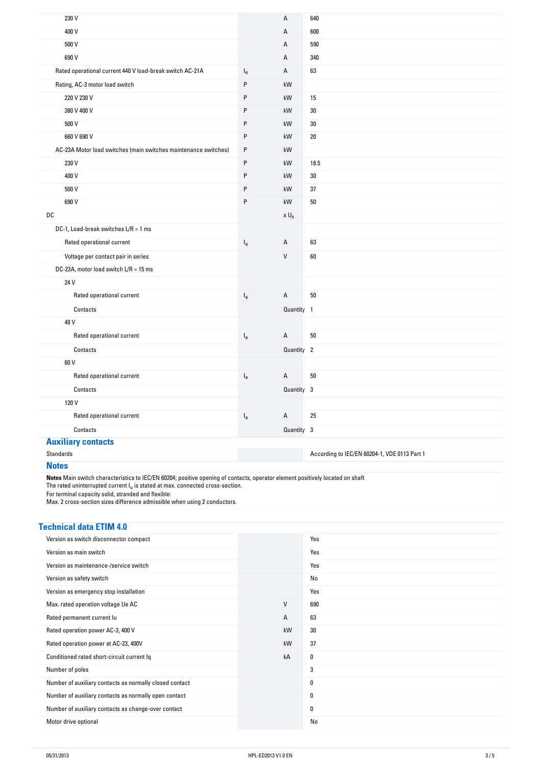| 230 V                                                           |                           | A              | 640    |
|-----------------------------------------------------------------|---------------------------|----------------|--------|
| 400 V                                                           |                           | $\overline{A}$ | 600    |
| 500 V                                                           |                           | A              | 590    |
| 690 V                                                           |                           | А              | 340    |
| Rated operational current 440 V load-break switch AC-21A        | $\mathsf{I}_{\mathsf{e}}$ | Α              | 63     |
| Rating, AC-3 motor load switch                                  | P                         | kW             |        |
| 220 V 230 V                                                     | P                         | kW             | 15     |
| 380 V 400 V                                                     | P                         | kW             | 30     |
| 500 V                                                           | P                         | kW             | 30     |
| 660 V 690 V                                                     | P                         | kW             | $20\,$ |
| AC-23A Motor load switches (main switches maintenance switches) | ${\sf P}$                 | kW             |        |
| 230 V                                                           | P                         | kW             | 18.5   |
| 400 V                                                           | P                         | kW             | 30     |
| 500 V                                                           | P                         | kW             | 37     |
| 690 V                                                           | P                         | kW             | $50\,$ |
| DC                                                              |                           | $x \cup_s$     |        |
| DC-1, Load-break switches L/R = 1 ms                            |                           |                |        |
| Rated operational current                                       | $\mathsf{I}_{\mathsf{e}}$ | A              | 63     |
| Voltage per contact pair in series                              |                           | $\mathsf{V}$   | 60     |
| DC-23A, motor load switch L/R = 15 ms                           |                           |                |        |
| 24 V                                                            |                           |                |        |
| Rated operational current                                       | $\mathsf{I}_{\mathsf{e}}$ | A              | 50     |
| Contacts                                                        |                           | Quantity 1     |        |
| 48 V                                                            |                           |                |        |
| Rated operational current                                       | $I_e$                     | A              | $50\,$ |
| Contacts                                                        |                           | Quantity 2     |        |
| 60 V                                                            |                           |                |        |
| Rated operational current                                       | $\mathsf{I}_{\mathsf{e}}$ | A              | 50     |
| Contacts                                                        |                           | Quantity 3     |        |
| 120 V                                                           |                           |                |        |
| Rated operational current                                       | $\mathsf{I}_{\mathsf{e}}$ | А              | 25     |
| Contacts                                                        |                           | Quantity 3     |        |
| <b>Auxiliary contacts</b>                                       |                           |                |        |

# **Notes**

Standards According to IEC/EN 60204-1, VDE 0113 Part 1

**Notes-**Main switch characteristics to IEC/EN 60204; positive opening of contacts, operator element positively located on shaft The rated uninterrupted current  $I_u$  is stated at max. connected cross-section.

For terminal capacity solid, stranded and flexible:

Max. 2 cross-section sizes difference admissible when using 2 conductors.

## **Technical-data-ETIM-4.0**

| Version as switch disconnector compact                  |    | Yes |
|---------------------------------------------------------|----|-----|
| Version as main switch                                  |    | Yes |
| Version as maintenance-/service switch                  |    | Yes |
| Version as safety switch                                |    | No  |
| Version as emergency stop installation                  |    | Yes |
| Max. rated operation voltage Ue AC                      | v  | 690 |
| Rated permanent current lu                              | A  | 63  |
| Rated operation power AC-3, 400 V                       | kW | 30  |
| Rated operation power at AC-23, 400V                    | kW | 37  |
| Conditioned rated short-circuit current Iq              | kA | 0   |
| Number of poles                                         |    | 3   |
| Number of auxiliary contacts as normally closed contact |    | 0   |
| Number of auxiliary contacts as normally open contact   |    | 0   |
| Number of auxiliary contacts as change-over contact     |    | 0   |
| Motor drive optional                                    |    | No  |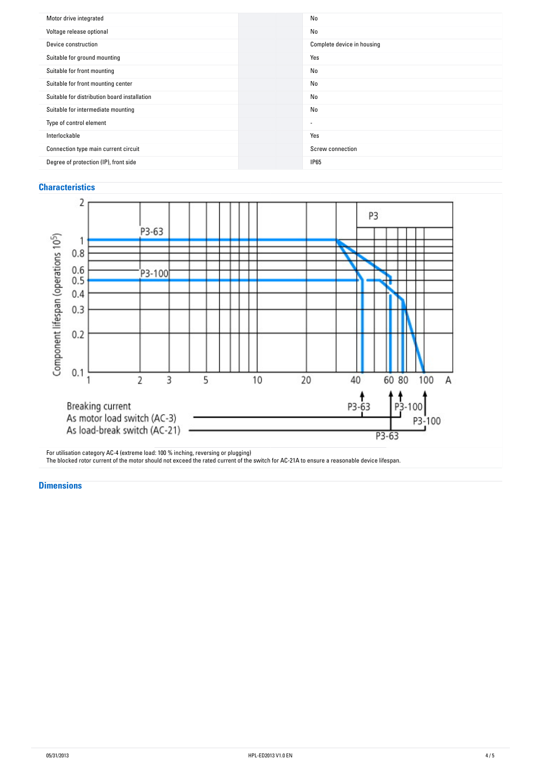| Motor drive integrated                       | No                         |
|----------------------------------------------|----------------------------|
| Voltage release optional                     | No                         |
| Device construction                          | Complete device in housing |
| Suitable for ground mounting                 | Yes                        |
| Suitable for front mounting                  | No                         |
| Suitable for front mounting center           | No                         |
| Suitable for distribution board installation | No                         |
| Suitable for intermediate mounting           | No                         |
| Type of control element                      | ٠                          |
| Interlockable                                | Yes                        |
| Connection type main current circuit         | Screw connection           |
| Degree of protection (IP), front side        | <b>IP65</b>                |
|                                              |                            |

## **Characteristics**



**Dimensions**